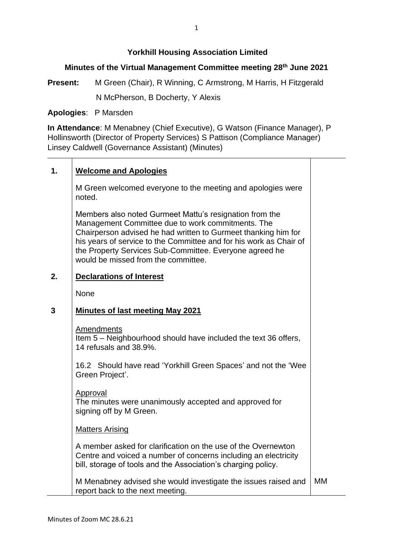# **Yorkhill Housing Association Limited**

# **Minutes of the Virtual Management Committee meeting 28th June 2021**

**Present:** M Green (Chair), R Winning, C Armstrong, M Harris, H Fitzgerald N McPherson, B Docherty, Y Alexis

**Apologies**: P Marsden

**In Attendance**: M Menabney (Chief Executive), G Watson (Finance Manager), P Hollinsworth (Director of Property Services) S Pattison (Compliance Manager) Linsey Caldwell (Governance Assistant) (Minutes)

# **1. Welcome and Apologies**

M Green welcomed everyone to the meeting and apologies were noted.

Members also noted Gurmeet Mattu's resignation from the Management Committee due to work commitments. The Chairperson advised he had written to Gurmeet thanking him for his years of service to the Committee and for his work as Chair of the Property Services Sub-Committee. Everyone agreed he would be missed from the committee.

#### **2. Declarations of Interest**

None

#### **3 Minutes of last meeting May 2021**

Amendments

Item 5 – Neighbourhood should have included the text 36 offers, 14 refusals and 38.9%.

16.2 Should have read 'Yorkhill Green Spaces' and not the 'Wee Green Project'.

### Approval

The minutes were unanimously accepted and approved for signing off by M Green.

## Matters Arising

A member asked for clarification on the use of the Overnewton Centre and voiced a number of concerns including an electricity bill, storage of tools and the Association's charging policy.

M Menabney advised she would investigate the issues raised and report back to the next meeting. MM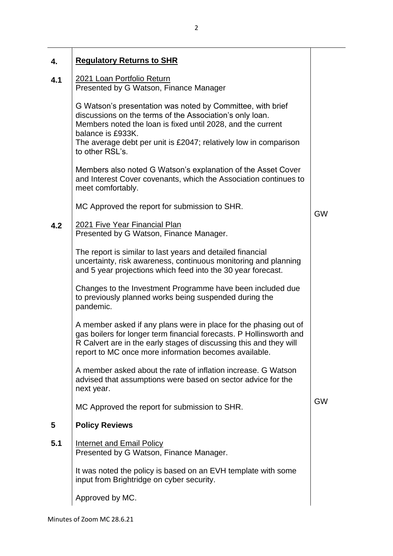| 4.  | <b>Regulatory Returns to SHR</b>                                                                                                                                                                                                                                                                  |           |
|-----|---------------------------------------------------------------------------------------------------------------------------------------------------------------------------------------------------------------------------------------------------------------------------------------------------|-----------|
| 4.1 | 2021 Loan Portfolio Return<br>Presented by G Watson, Finance Manager                                                                                                                                                                                                                              |           |
|     | G Watson's presentation was noted by Committee, with brief<br>discussions on the terms of the Association's only loan.<br>Members noted the loan is fixed until 2028, and the current<br>balance is £933K.<br>The average debt per unit is £2047; relatively low in comparison<br>to other RSL's. |           |
|     | Members also noted G Watson's explanation of the Asset Cover<br>and Interest Cover covenants, which the Association continues to<br>meet comfortably.                                                                                                                                             |           |
|     | MC Approved the report for submission to SHR.                                                                                                                                                                                                                                                     | <b>GW</b> |
| 4.2 | 2021 Five Year Financial Plan<br>Presented by G Watson, Finance Manager.                                                                                                                                                                                                                          |           |
|     | The report is similar to last years and detailed financial<br>uncertainty, risk awareness, continuous monitoring and planning<br>and 5 year projections which feed into the 30 year forecast.                                                                                                     |           |
|     | Changes to the Investment Programme have been included due<br>to previously planned works being suspended during the<br>pandemic.                                                                                                                                                                 |           |
|     | A member asked if any plans were in place for the phasing out of<br>gas boilers for longer term financial forecasts. P Hollinsworth and<br>R Calvert are in the early stages of discussing this and they will<br>report to MC once more information becomes available.                            |           |
|     | A member asked about the rate of inflation increase. G Watson<br>advised that assumptions were based on sector advice for the<br>next year.                                                                                                                                                       |           |
|     | MC Approved the report for submission to SHR.                                                                                                                                                                                                                                                     | <b>GW</b> |
| 5   | <b>Policy Reviews</b>                                                                                                                                                                                                                                                                             |           |
| 5.1 | <b>Internet and Email Policy</b><br>Presented by G Watson, Finance Manager.                                                                                                                                                                                                                       |           |
|     | It was noted the policy is based on an EVH template with some<br>input from Brightridge on cyber security.                                                                                                                                                                                        |           |
|     | Approved by MC.                                                                                                                                                                                                                                                                                   |           |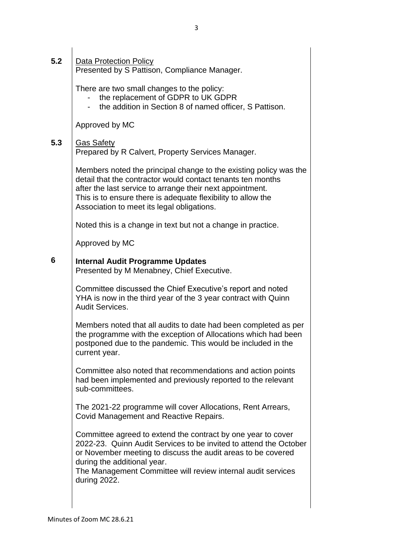**5.2** | Data Protection Policy

Presented by S Pattison, Compliance Manager.

There are two small changes to the policy:

- the replacement of GDPR to UK GDPR
- the addition in Section 8 of named officer. S Pattison.

Approved by MC

## 5.3 Gas Safety

Prepared by R Calvert, Property Services Manager.

Members noted the principal change to the existing policy was the detail that the contractor would contact tenants ten months after the last service to arrange their next appointment. This is to ensure there is adequate flexibility to allow the Association to meet its legal obligations.

Noted this is a change in text but not a change in practice.

Approved by MC

# **6 Internal Audit Programme Updates**

Presented by M Menabney, Chief Executive.

Committee discussed the Chief Executive's report and noted YHA is now in the third year of the 3 year contract with Quinn Audit Services.

Members noted that all audits to date had been completed as per the programme with the exception of Allocations which had been postponed due to the pandemic. This would be included in the current year.

Committee also noted that recommendations and action points had been implemented and previously reported to the relevant sub-committees.

The 2021-22 programme will cover Allocations, Rent Arrears, Covid Management and Reactive Repairs.

Committee agreed to extend the contract by one year to cover 2022-23. Quinn Audit Services to be invited to attend the October or November meeting to discuss the audit areas to be covered during the additional year.

The Management Committee will review internal audit services during 2022.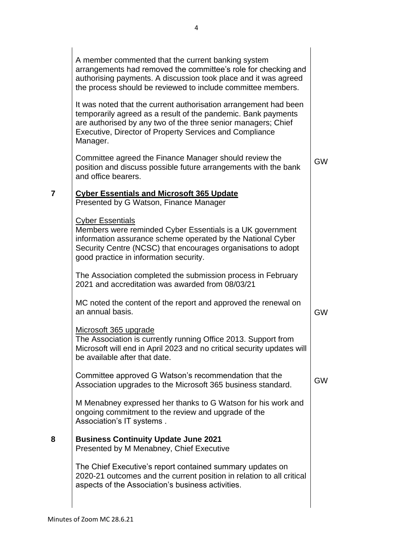|   | A member commented that the current banking system<br>arrangements had removed the committee's role for checking and<br>authorising payments. A discussion took place and it was agreed<br>the process should be reviewed to include committee members.                          |           |
|---|----------------------------------------------------------------------------------------------------------------------------------------------------------------------------------------------------------------------------------------------------------------------------------|-----------|
|   | It was noted that the current authorisation arrangement had been<br>temporarily agreed as a result of the pandemic. Bank payments<br>are authorised by any two of the three senior managers; Chief<br><b>Executive, Director of Property Services and Compliance</b><br>Manager. |           |
|   | Committee agreed the Finance Manager should review the<br>position and discuss possible future arrangements with the bank<br>and office bearers.                                                                                                                                 | <b>GW</b> |
| 7 | <b>Cyber Essentials and Microsoft 365 Update</b><br>Presented by G Watson, Finance Manager                                                                                                                                                                                       |           |
|   | <b>Cyber Essentials</b><br>Members were reminded Cyber Essentials is a UK government<br>information assurance scheme operated by the National Cyber<br>Security Centre (NCSC) that encourages organisations to adopt<br>good practice in information security.                   |           |
|   | The Association completed the submission process in February<br>2021 and accreditation was awarded from 08/03/21                                                                                                                                                                 |           |
|   | MC noted the content of the report and approved the renewal on<br>an annual basis.                                                                                                                                                                                               | <b>GW</b> |
|   | Microsoft 365 upgrade<br>The Association is currently running Office 2013. Support from<br>Microsoft will end in April 2023 and no critical security updates will<br>be available after that date.                                                                               |           |
|   | Committee approved G Watson's recommendation that the<br>Association upgrades to the Microsoft 365 business standard.                                                                                                                                                            | <b>GW</b> |
|   | M Menabney expressed her thanks to G Watson for his work and<br>ongoing commitment to the review and upgrade of the<br>Association's IT systems.                                                                                                                                 |           |
| 8 | <b>Business Continuity Update June 2021</b><br>Presented by M Menabney, Chief Executive                                                                                                                                                                                          |           |
|   | The Chief Executive's report contained summary updates on<br>2020-21 outcomes and the current position in relation to all critical<br>aspects of the Association's business activities.                                                                                          |           |
|   |                                                                                                                                                                                                                                                                                  |           |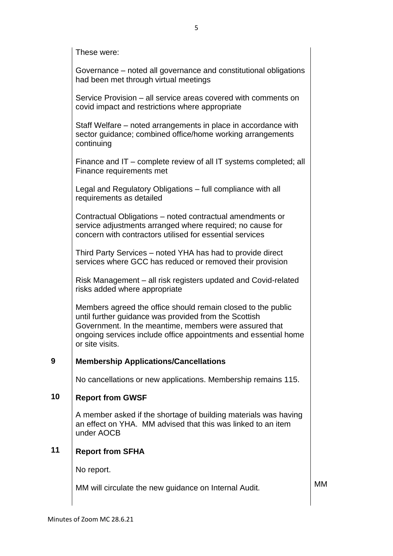|    | These were:                                                                                                                                                                                                                                                           |           |
|----|-----------------------------------------------------------------------------------------------------------------------------------------------------------------------------------------------------------------------------------------------------------------------|-----------|
|    | Governance – noted all governance and constitutional obligations<br>had been met through virtual meetings                                                                                                                                                             |           |
|    | Service Provision – all service areas covered with comments on<br>covid impact and restrictions where appropriate                                                                                                                                                     |           |
|    | Staff Welfare – noted arrangements in place in accordance with<br>sector guidance; combined office/home working arrangements<br>continuing                                                                                                                            |           |
|    | Finance and IT – complete review of all IT systems completed; all<br>Finance requirements met                                                                                                                                                                         |           |
|    | Legal and Regulatory Obligations - full compliance with all<br>requirements as detailed                                                                                                                                                                               |           |
|    | Contractual Obligations – noted contractual amendments or<br>service adjustments arranged where required; no cause for<br>concern with contractors utilised for essential services                                                                                    |           |
|    | Third Party Services – noted YHA has had to provide direct<br>services where GCC has reduced or removed their provision                                                                                                                                               |           |
|    | Risk Management – all risk registers updated and Covid-related<br>risks added where appropriate                                                                                                                                                                       |           |
|    | Members agreed the office should remain closed to the public<br>until further guidance was provided from the Scottish<br>Government. In the meantime, members were assured that<br>ongoing services include office appointments and essential home<br>or site visits. |           |
| 9  | <b>Membership Applications/Cancellations</b>                                                                                                                                                                                                                          |           |
|    | No cancellations or new applications. Membership remains 115.                                                                                                                                                                                                         |           |
| 10 | <b>Report from GWSF</b>                                                                                                                                                                                                                                               |           |
|    | A member asked if the shortage of building materials was having<br>an effect on YHA. MM advised that this was linked to an item<br>under AOCB                                                                                                                         |           |
| 11 | <b>Report from SFHA</b>                                                                                                                                                                                                                                               |           |
|    | No report.                                                                                                                                                                                                                                                            |           |
|    | MM will circulate the new guidance on Internal Audit.                                                                                                                                                                                                                 | <b>MM</b> |
|    |                                                                                                                                                                                                                                                                       |           |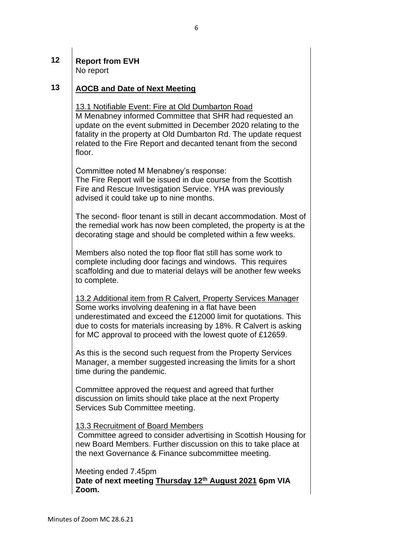## **12 Report from EVH** No report

# **13 AOCB and Date of Next Meeting**

13.1 Notifiable Event: Fire at Old Dumbarton Road M Menabney informed Committee that SHR had requested an update on the event submitted in December 2020 relating to the fatality in the property at Old Dumbarton Rd. The update request related to the Fire Report and decanted tenant from the second floor.

Committee noted M Menabney's response:

The Fire Report will be issued in due course from the Scottish Fire and Rescue Investigation Service. YHA was previously advised it could take up to nine months.

The second- floor tenant is still in decant accommodation. Most of the remedial work has now been completed, the property is at the decorating stage and should be completed within a few weeks.

Members also noted the top floor flat still has some work to complete including door facings and windows. This requires scaffolding and due to material delays will be another few weeks to complete.

13.2 Additional item from R Calvert, Property Services Manager Some works involving deafening in a flat have been underestimated and exceed the £12000 limit for quotations. This due to costs for materials increasing by 18%. R Calvert is asking for MC approval to proceed with the lowest quote of £12659.

As this is the second such request from the Property Services Manager, a member suggested increasing the limits for a short time during the pandemic.

Committee approved the request and agreed that further discussion on limits should take place at the next Property Services Sub Committee meeting.

## 13.3 Recruitment of Board Members

Committee agreed to consider advertising in Scottish Housing for new Board Members. Further discussion on this to take place at the next Governance & Finance subcommittee meeting.

### Meeting ended 7.45pm

**Date of next meeting Thursday 12th August 2021 6pm VIA Zoom.**